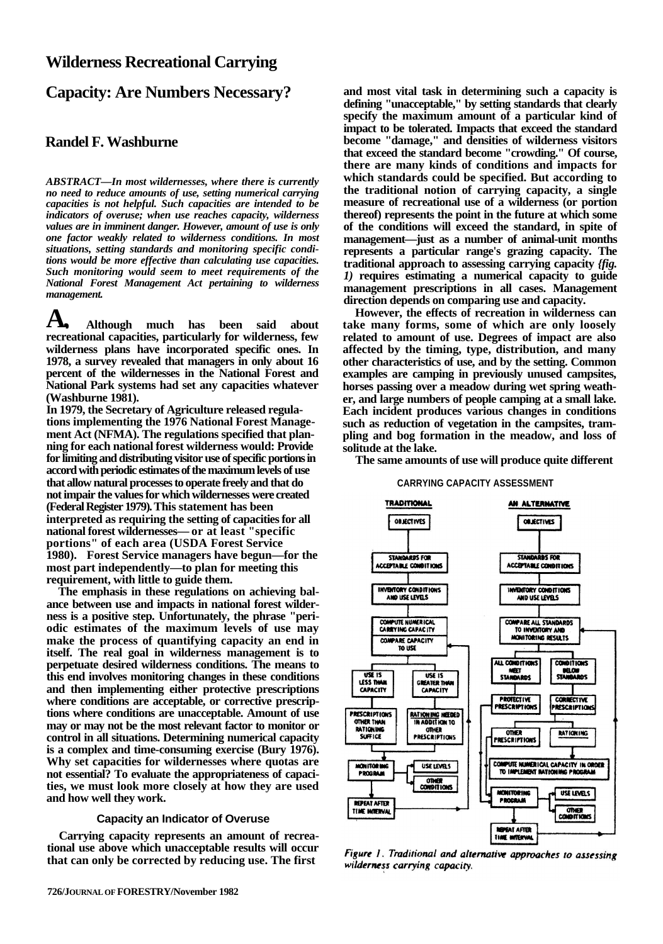## **Randel F. Washburne**

*ABSTRACT—In most wildernesses, where there is currently no need to reduce amounts of use, setting numerical carrying capacities is not helpful. Such capacities are intended to be indicators of overuse; when use reaches capacity, wilderness values are in imminent danger. However, amount of use is only one factor weakly related to wilderness conditions. In most situations, setting standards and monitoring specific conditions would be more effective than calculating use capacities. Such monitoring would seem to meet requirements of the National Forest Management Act pertaining to wilderness management.*

**In 1979, the Secretary of Agriculture released regulations implementing the 1976 National Forest Management Act (NFMA). The regulations specified that planning for each national forest wilderness would: Provide for limiting and distributing visitor use of specific portions in accord with periodic estimates of the maximum levels of use that allow natural processes to operate freely and that do not impair the values for which wildernesses were created (Federal Register 1979). This statement has been interpreted as requiring the setting of capacities for all national forest wildernesses— or at least "specific portions" of each area (USDA Forest Service 1980). Forest Service managers have begun—for the most part independently—to plan for meeting this requirement, with little to guide them. The emphasis in these regulations on achieving balance between use and impacts in national forest wilderness is a positive step. Unfortunately, the phrase "periodic estimates of the maximum levels of use may make the process of quantifying capacity an end in itself. The real goal in wilderness management is to perpetuate desired wilderness conditions. The means to this end involves monitoring changes in these conditions and then implementing either protective prescriptions**  where conditions are acceptable, or corrective prescrip**tions where conditions are unacceptable. Amount of use may or may not be the most relevant factor to monitor or control in all situations. Determining numerical capacity is a complex and time-consuming exercise (Bury 1976). Why set capacities for wildernesses where quotas are not essential? To evaluate the appropriateness of capacities, we must look more closely at how they are used and how well they work.**

**Although much has been said about recreational capacities, particularly for wilderness, few wilderness plans have incorporated specific ones. In 1978, a survey revealed that managers in only about 16 percent of the wildernesses in the National Forest and National Park systems had set any capacities whatever (Washburne 1981). A,**

### **Capacity an Indicator of Overuse**

**Carrying capacity represents an amount of recreational use above which unacceptable results will occur that can only be corrected by reducing use. The first**

**and most vital task in determining such a capacity is defining "unacceptable," by setting standards that clearly specify the maximum amount of a particular kind of impact to be tolerated. Impacts that exceed the standard become "damage," and densities of wilderness visitors that exceed the standard become "crowding." Of course, there are many kinds of conditions and impacts for which standards could be specified. But according to the traditional notion of carrying capacity, a single measure of recreational use of a wilderness (or portion thereof) represents the point in the future at which some of the conditions will exceed the standard, in spite of management—just as a number of animal-unit months represents a particular range's grazing capacity. The traditional approach to assessing carrying capacity** *{fig. 1)* **requires estimating a numerical capacity to guide management prescriptions in all cases. Management direction depends on comparing use and capacity.**

**However, the effects of recreation in wilderness can take many forms, some of which are only loosely related to amount of use. Degrees of impact are also affected by the timing, type, distribution, and many other characteristics of use, and by the setting. Common examples are camping in previously unused campsites, horses passing over a meadow during wet spring weather, and large numbers of people camping at a small lake. Each incident produces various changes in conditions such as reduction of vegetation in the campsites, trampling and bog formation in the meadow, and loss of solitude at the lake.**

**The same amounts of use will produce quite different**

**CARRYING CAPACITY ASSESSMENT**





Figure 1. Traditional and alternative approaches to assessing wilderness carrying capacity.

# **Wilderness Recreational Carrying**

# **Capacity: Are Numbers Necessary?**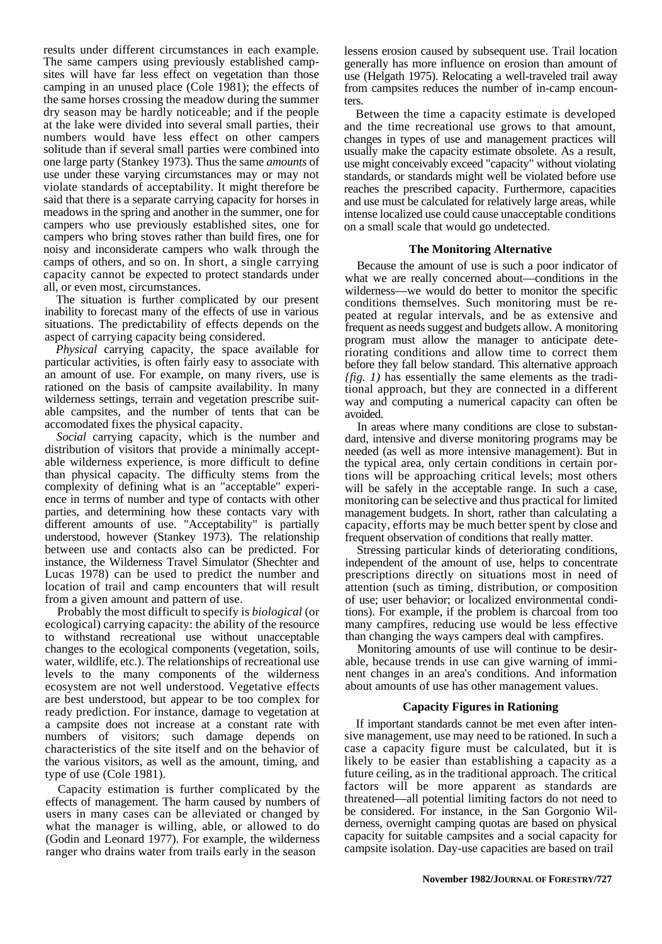results under different circumstances in each example. The same campers using previously established campsites will have far less effect on vegetation than those camping in an unused place (Cole 1981); the effects of the same horses crossing the meadow during the summer dry season may be hardly noticeable; and if the people at the lake were divided into several small parties, their numbers would have less effect on other campers solitude than if several small parties were combined into one large party (Stankey 1973). Thus the same *amounts* of use under these varying circumstances may or may not violate standards of acceptability. It might therefore be said that there is a separate carrying capacity for horses in meadows in the spring and another in the summer, one for campers who use previously established sites, one for campers who bring stoves rather than build fires, one for noisy and inconsiderate campers who walk through the camps of others, and so on. In short, a single carrying capacity cannot be expected to protect standards under all, or even most, circumstances.

The situation is further complicated by our present inability to forecast many of the effects of use in various situations. The predictability of effects depends on the aspect of carrying capacity being considered.

*Physical* carrying capacity, the space available for particular activities, is often fairly easy to associate with an amount of use. For example, on many rivers, use is rationed on the basis of campsite availability. In many wilderness settings, terrain and vegetation prescribe suitable campsites, and the number of tents that can be accomodated fixes the physical capacity.

*Social* carrying capacity, which is the number and distribution of visitors that provide a minimally acceptable wilderness experience, is more difficult to define than physical capacity. The difficulty stems from the complexity of defining what is an "acceptable" experience in terms of number and type of contacts with other parties, and determining how these contacts vary with different amounts of use. "Acceptability" is partially understood, however (Stankey 1973). The relationship between use and contacts also can be predicted. For instance, the Wilderness Travel Simulator (Shechter and Lucas 1978) can be used to predict the number and location of trail and camp encounters that will result from a given amount and pattern of use. Probably the most difficult to specify is *biological* (or ecological) carrying capacity: the ability of the resource to withstand recreational use without unacceptable changes to the ecological components (vegetation, soils, water, wildlife, etc.). The relationships of recreational use levels to the many components of the wilderness ecosystem are not well understood. Vegetative effects are best understood, but appear to be too complex for ready prediction. For instance, damage to vegetation at a campsite does not increase at a constant rate with numbers of visitors; such damage depends on characteristics of the site itself and on the behavior of the various visitors, as well as the amount, timing, and type of use (Cole 1981). Capacity estimation is further complicated by the effects of management. The harm caused by numbers of users in many cases can be alleviated or changed by what the manager is willing, able, or allowed to do (Godin and Leonard 1977). For example, the wilderness ranger who drains water from trails early in the season

lessens erosion caused by subsequent use. Trail location generally has more influence on erosion than amount of use (Helgath 1975). Relocating a well-traveled trail away from campsites reduces the number of in-camp encounters.

Between the time a capacity estimate is developed and the time recreational use grows to that amount, changes in types of use and management practices will usually make the capacity estimate obsolete. As a result, use might conceivably exceed "capacity" without violating standards, or standards might well be violated before use reaches the prescribed capacity. Furthermore, capacities and use must be calculated for relatively large areas, while intense localized use could cause unacceptable conditions on a small scale that would go undetected.

#### **The Monitoring Alternative**

Because the amount of use is such a poor indicator of what we are really concerned about—conditions in the wilderness—we would do better to monitor the specific conditions themselves. Such monitoring must be repeated at regular intervals, and be as extensive and frequent as needs suggest and budgets allow. A monitoring program must allow the manager to anticipate deteriorating conditions and allow time to correct them before they fall below standard. This alternative approach *{fig. 1)* has essentially the same elements as the traditional approach, but they are connected in a different way and computing a numerical capacity can often be avoided.

In areas where many conditions are close to substandard, intensive and diverse monitoring programs may be needed (as well as more intensive management). But in the typical area, only certain conditions in certain portions will be approaching critical levels; most others will be safely in the acceptable range. In such a case, monitoring can be selective and thus practical for limited management budgets. In short, rather than calculating a capacity, efforts may be much better spent by close and frequent observation of conditions that really matter. Stressing particular kinds of deteriorating conditions, independent of the amount of use, helps to concentrate prescriptions directly on situations most in need of attention (such as timing, distribution, or composition of use; user behavior; or localized environmental conditions). For example, if the problem is charcoal from too many campfires, reducing use would be less effective than changing the ways campers deal with campfires. Monitoring amounts of use will continue to be desirable, because trends in use can give warning of imminent changes in an area's conditions. And information about amounts of use has other management values.

#### **Capacity Figures in Rationing**

If important standards cannot be met even after intensive management, use may need to be rationed. In such a case a capacity figure must be calculated, but it is likely to be easier than establishing a capacity as a future ceiling, as in the traditional approach. The critical factors will be more apparent as standards are threatened—all potential limiting factors do not need to be considered. For instance, in the San Gorgonio Wilderness, overnight camping quotas are based on physical capacity for suitable campsites and a social capacity for campsite isolation. Day-use capacities are based on trail

#### **November 1982/JOURNAL OF FORESTRY/727**